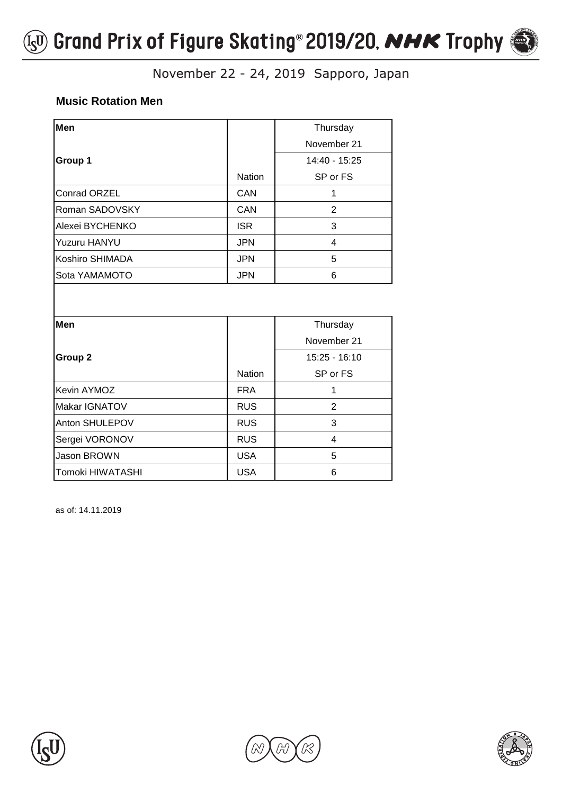

### **Music Rotation Men**

| Men                |               | Thursday       |
|--------------------|---------------|----------------|
|                    |               | November 21    |
| Group 1            |               | 14:40 - 15:25  |
|                    | <b>Nation</b> | SP or FS       |
| Conrad ORZEL       | CAN           | 1              |
| Roman SADOVSKY     | CAN           | $\overline{2}$ |
| Alexei BYCHENKO    | <b>ISR</b>    | 3              |
| Yuzuru HANYU       | <b>JPN</b>    | $\overline{4}$ |
| Koshiro SHIMADA    | <b>JPN</b>    | 5              |
| Sota YAMAMOTO      | <b>JPN</b>    | 6              |
| Men                |               | Thursday       |
|                    |               |                |
|                    |               | November 21    |
| Group <sub>2</sub> |               | 15:25 - 16:10  |
|                    | <b>Nation</b> | SP or FS       |
| Kevin AYMOZ        | <b>FRA</b>    | 1              |
| Makar IGNATOV      | <b>RUS</b>    | $\overline{2}$ |
| Anton SHULEPOV     | <b>RUS</b>    | 3              |
| Sergei VORONOV     | <b>RUS</b>    | 4              |
| Jason BROWN        | <b>USA</b>    | 5              |
| Tomoki HIWATASHI   | <b>USA</b>    | 6              |





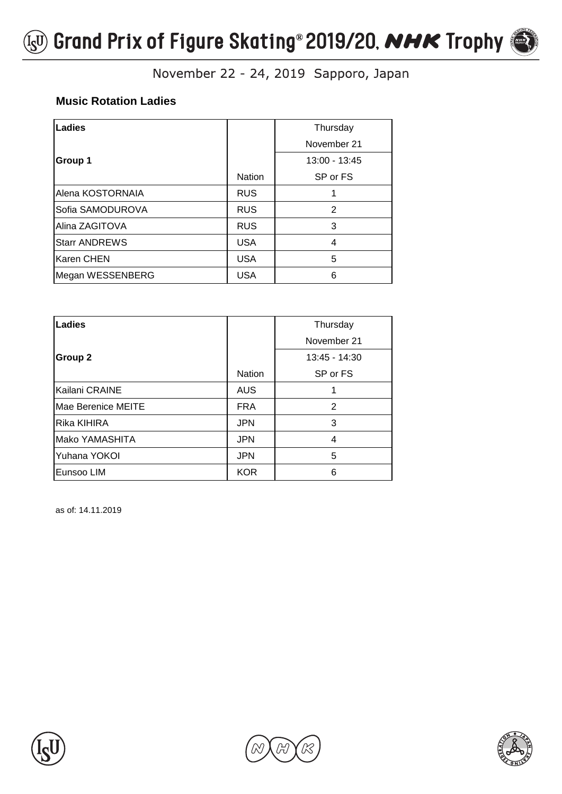

### **Music Rotation Ladies**

| Ladies               |               | Thursday      |
|----------------------|---------------|---------------|
|                      |               | November 21   |
| Group 1              |               | 13:00 - 13:45 |
|                      | <b>Nation</b> | SP or FS      |
| Alena KOSTORNAIA     | <b>RUS</b>    |               |
| Sofia SAMODUROVA     | <b>RUS</b>    | $\mathcal{P}$ |
| Alina ZAGITOVA       | <b>RUS</b>    | 3             |
| <b>Starr ANDREWS</b> | <b>USA</b>    | 4             |
| <b>Karen CHEN</b>    | <b>USA</b>    | 5             |
| Megan WESSENBERG     | <b>USA</b>    | 6             |

| Ladies             |               | Thursday        |
|--------------------|---------------|-----------------|
|                    |               | November 21     |
| <b>Group 2</b>     |               | $13:45 - 14:30$ |
|                    | <b>Nation</b> | SP or FS        |
| Kailani CRAINE     | <b>AUS</b>    |                 |
| Mae Berenice MEITE | <b>FRA</b>    | 2               |
| Rika KIHIRA        | <b>JPN</b>    | 3               |
| Mako YAMASHITA     | <b>JPN</b>    | 4               |
| Yuhana YOKOI       | <b>JPN</b>    | 5               |
| Eunsoo LIM         | <b>KOR</b>    | 6               |





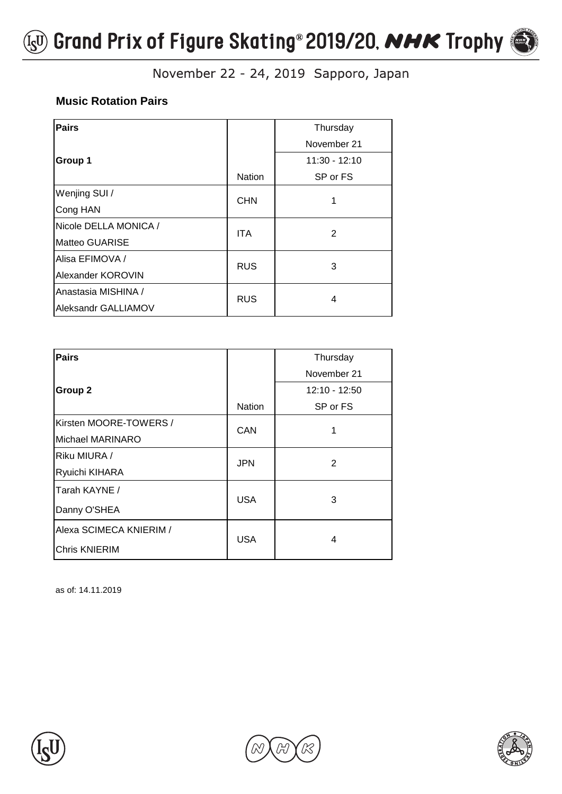

## **Music Rotation Pairs**

| <b>Pairs</b>          |               | Thursday        |
|-----------------------|---------------|-----------------|
|                       |               | November 21     |
| Group 1               |               | $11:30 - 12:10$ |
|                       | <b>Nation</b> | SP or FS        |
| Wenjing SUI /         | <b>CHN</b>    |                 |
| Cong HAN              |               |                 |
| Nicole DELLA MONICA / | <b>ITA</b>    | $\overline{2}$  |
| Matteo GUARISE        |               |                 |
| Alisa EFIMOVA /       | <b>RUS</b>    | 3               |
| Alexander KOROVIN     |               |                 |
| Anastasia MISHINA /   | <b>RUS</b>    | 4               |
| Aleksandr GALLIAMOV   |               |                 |

| <b>Pairs</b>            |               | Thursday      |
|-------------------------|---------------|---------------|
|                         |               | November 21   |
| <b>Group 2</b>          |               | 12:10 - 12:50 |
|                         | <b>Nation</b> | SP or FS      |
| Kirsten MOORE-TOWERS /  | <b>CAN</b>    |               |
| Michael MARINARO        |               |               |
| Riku MIURA /            | <b>JPN</b>    | 2             |
| Ryuichi KIHARA          |               |               |
| Tarah KAYNE /           | <b>USA</b>    | 3             |
| Danny O'SHEA            |               |               |
| Alexa SCIMECA KNIERIM / | <b>USA</b>    | 4             |
| <b>Chris KNIERIM</b>    |               |               |